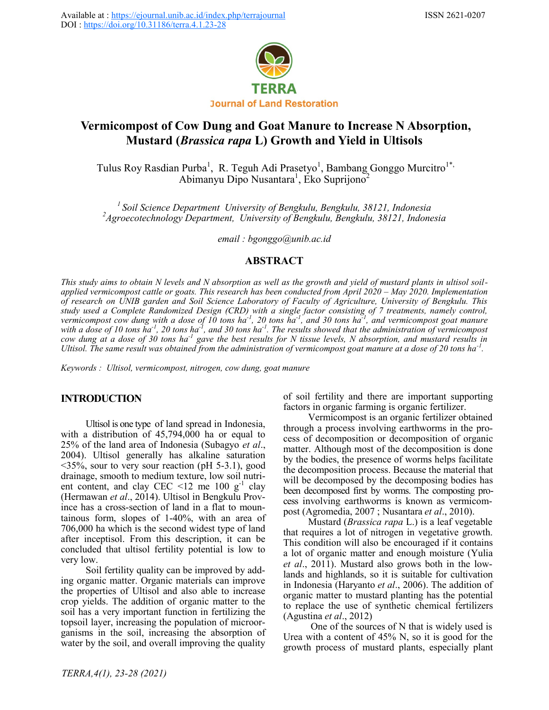

# **Vermicompost of Cow Dung and Goat Manure to Increase N Absorption, Mustard (***Brassica rapa* **L) Growth and Yield in Ultisols**

Tulus Roy Rasdian Purba<sup>1</sup>, R. Teguh Adi Prasetyo<sup>1</sup>, Bambang Gonggo Murcitro<sup>1\*,</sup> Abimanyu Dipo Nusantara<sup>1</sup>, Eko Suprijono<sup>2</sup>

*<sup>1</sup>Soil Science Department University of Bengkulu, Bengkulu, 38121, Indonesia <sup>2</sup>Agroecotechnology Department, University of Bengkulu, Bengkulu, 38121, Indonesia*

*email : bgonggo@unib.ac.id*

# **ABSTRACT**

*This study aims to obtain N levels and N absorption as well as the growth and yield of mustard plants in ultisol soilapplied vermicompost cattle or goats. This research has been conducted from April 2020 – May 2020. Implementation of research on UNIB garden and Soil Science Laboratory of Faculty of Agriculture, University of Bengkulu. This study used a Complete Randomized Design (CRD) with a single factor consisting of 7 treatments, namely control, vermicompost cow dung with a dose of 10 tons ha-<sup>1</sup> , 20 tons ha-<sup>1</sup> , and 30 tons ha-<sup>1</sup> , and vermicompost goat manure*  with a dose of 10 tons ha<sup>-1</sup>, 20 tons ha<sup>-1</sup>, and 30 tons ha<sup>-1</sup>. The results showed that the administration of vermicompost *cow dung at a dose of 30 tons ha<sup>-1</sup> gave the best results for N tissue levels, N absorption, and mustard results in Ultisol. The same result was obtained from the administration of vermicompost goat manure at a dose of 20 tons ha-<sup>1</sup> .*

*Keywords : Ultisol, vermicompost, nitrogen, cow dung, goat manure*

# **INTRODUCTION**

Ultisol is one type of land spread in Indonesia, with a distribution of 45,794,000 ha or equal to 25% of the land area of Indonesia (Subagyo *et al*., 2004). Ultisol generally has alkaline saturation  $\leq$ 35%, sour to very sour reaction (pH 5-3.1), good drainage, smooth to medium texture, low soil nutrient content, and clay CEC <12 me 100  $g^{-1}$  clay (Hermawan *et al*., 2014). Ultisol in Bengkulu Province has a cross-section of land in a flat to mountainous form, slopes of 1-40%, with an area of 706,000 ha which is the second widest type of land after inceptisol. From this description, it can be concluded that ultisol fertility potential is low to very low.

Soil fertility quality can be improved by adding organic matter. Organic materials can improve the properties of Ultisol and also able to increase crop yields. The addition of organic matter to the soil has a very important function in fertilizing the topsoil layer, increasing the population of microorganisms in the soil, increasing the absorption of water by the soil, and overall improving the quality of soil fertility and there are important supporting factors in organic farming is organic fertilizer.

Vermicompost is an organic fertilizer obtained through a process involving earthworms in the process of decomposition or decomposition of organic matter. Although most of the decomposition is done by the bodies, the presence of worms helps facilitate the decomposition process. Because the material that will be decomposed by the decomposing bodies has been decomposed first by worms. The composting process involving earthworms is known as vermicompost (Agromedia, 2007 ; Nusantara *et al*., 2010).

Mustard (*Brassica rapa* L.) is a leaf vegetable that requires a lot of nitrogen in vegetative growth. This condition will also be encouraged if it contains a lot of organic matter and enough moisture (Yulia *et al*., 2011). Mustard also grows both in the lowlands and highlands, so it is suitable for cultivation in Indonesia (Haryanto *et al*., 2006). The addition of organic matter to mustard planting has the potential to replace the use of synthetic chemical fertilizers (Agustina *et al*., 2012)

One of the sources of N that is widely used is Urea with a content of 45% N, so it is good for the growth process of mustard plants, especially plant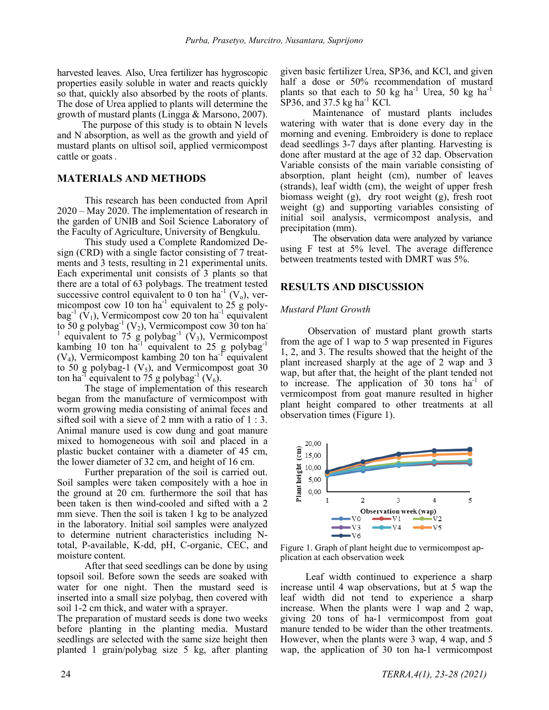harvested leaves. Also, Urea fertilizer has hygroscopic properties easily soluble in water and reacts quickly so that, quickly also absorbed by the roots of plants. The dose of Urea applied to plants will determine the growth of mustard plants (Lingga & Marsono, 2007).

The purpose of this study is to obtain N levels and N absorption, as well as the growth and yield of mustard plants on ultisol soil, applied vermicompost cattle or goats .

# **MATERIALS AND METHODS**

This research has been conducted from April 2020 – May 2020. The implementation of research in the garden of UNIB and Soil Science Laboratory of the Faculty of Agriculture, University of Bengkulu.

This study used a Complete Randomized Design (CRD) with a single factor consisting of 7 treatments and 3 tests, resulting in 21 experimental units. Each experimental unit consists of 3 plants so that there are a total of 63 polybags. The treatment tested successive control equivalent to 0 ton ha<sup>-1</sup> (V<sub>o</sub>), vermicompost cow 10 ton ha<sup>-1</sup> equivalent to 25  $\frac{8}{9}$  polybag<sup>-1</sup> ( $\hat{V}_1$ ), Vermicompost cow 20 ton ha<sup>-1</sup> equivalent to 50 g polybag<sup>-1</sup> (V<sub>2</sub>), Vermicompost cow 30 ton ha<sup>-</sup> <sup>1</sup> equivalent to 75 g polybag<sup>-1</sup> ( $\dot{V}_3$ ), Vermicompost kambing 10 ton ha<sup>-1</sup> equivalent to 25 g polybag<sup>-1</sup>  $(V_4)$ , Vermicompost kambing 20 ton ha<sup>-1</sup> equivalent to 50 g polybag-1  $(V_5)$ , and Vermicompost goat 30 ton ha<sup>-1</sup> equivalent to 75 g polybag<sup>-1</sup> (V<sub>6</sub>).

The stage of implementation of this research began from the manufacture of vermicompost with worm growing media consisting of animal feces and sifted soil with a sieve of 2 mm with a ratio of 1 : 3. Animal manure used is cow dung and goat manure mixed to homogeneous with soil and placed in a plastic bucket container with a diameter of 45 cm, the lower diameter of 32 cm, and height of 16 cm.

Further preparation of the soil is carried out. Soil samples were taken compositely with a hoe in the ground at 20 cm. furthermore the soil that has been taken is then wind-cooled and sifted with a 2 mm sieve. Then the soil is taken 1 kg to be analyzed in the laboratory. Initial soil samples were analyzed to determine nutrient characteristics including Ntotal, P-available, K-dd, pH, C-organic, CEC, and moisture content.

After that seed seedlings can be done by using topsoil soil. Before sown the seeds are soaked with water for one night. Then the mustard seed is inserted into a small size polybag, then covered with soil 1-2 cm thick, and water with a sprayer.

The preparation of mustard seeds is done two weeks before planting in the planting media. Mustard seedlings are selected with the same size height then planted 1 grain/polybag size 5 kg, after planting given basic fertilizer Urea, SP36, and KCl, and given half a dose or 50% recommendation of mustard plants so that each to 50 kg ha<sup>-1</sup> Urea, 50 kg ha<sup>-1</sup>  $SP36$ , and 37.5 kg ha<sup>-1</sup> KCl.

Maintenance of mustard plants includes watering with water that is done every day in the morning and evening. Embroidery is done to replace dead seedlings 3-7 days after planting. Harvesting is done after mustard at the age of 32 dap. Observation Variable consists of the main variable consisting of absorption, plant height (cm), number of leaves (strands), leaf width (cm), the weight of upper fresh biomass weight (g), dry root weight (g), fresh root weight (g) and supporting variables consisting of initial soil analysis, vermicompost analysis, and precipitation (mm).

The observation data were analyzed by variance using F test at 5% level. The average difference between treatments tested with DMRT was 5%.

### **RESULTS AND DISCUSSION**

### *Mustard Plant Growth*

Observation of mustard plant growth starts from the age of 1 wap to 5 wap presented in Figures 1, 2, and 3. The results showed that the height of the plant increased sharply at the age of 2 wap and 3 wap, but after that, the height of the plant tended not to increase. The application of  $30$  tons ha<sup>-1</sup> of vermicompost from goat manure resulted in higher plant height compared to other treatments at all observation times (Figure 1).



Figure 1. Graph of plant height due to vermicompost application at each observation week

Leaf width continued to experience a sharp increase until 4 wap observations, but at 5 wap the leaf width did not tend to experience a sharp increase. When the plants were 1 wap and 2 wap, giving 20 tons of ha-1 vermicompost from goat manure tended to be wider than the other treatments. However, when the plants were 3 wap, 4 wap, and 5 wap, the application of 30 ton ha-1 vermicompost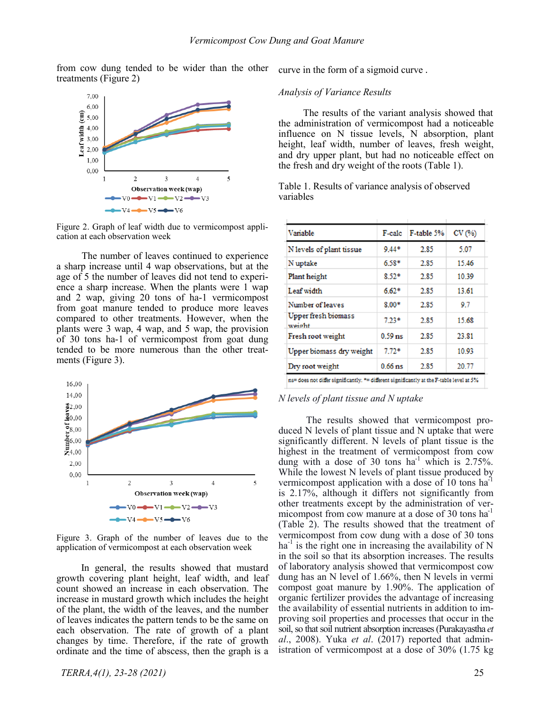from cow dung tended to be wider than the other treatments (Figure 2)



Figure 2. Graph of leaf width due to vermicompost application at each observation week

The number of leaves continued to experience a sharp increase until 4 wap observations, but at the age of 5 the number of leaves did not tend to experience a sharp increase. When the plants were 1 wap and 2 wap, giving 20 tons of ha-1 vermicompost from goat manure tended to produce more leaves compared to other treatments. However, when the plants were 3 wap, 4 wap, and 5 wap, the provision of 30 tons ha-1 of vermicompost from goat dung tended to be more numerous than the other treatments (Figure 3).



Figure 3. Graph of the number of leaves due to the application of vermicompost at each observation week

In general, the results showed that mustard growth covering plant height, leaf width, and leaf count showed an increase in each observation. The increase in mustard growth which includes the height of the plant, the width of the leaves, and the number of leaves indicates the pattern tends to be the same on each observation. The rate of growth of a plant changes by time. Therefore, if the rate of growth ordinate and the time of abscess, then the graph is a

*TERRA,4(1), 23-28 (2021)* 25

curve in the form of a sigmoid curve .

#### *Analysis of Variance Results*

The results of the variant analysis showed that the administration of vermicompost had a noticeable influence on N tissue levels, N absorption, plant height, leaf width, number of leaves, fresh weight, and dry upper plant, but had no noticeable effect on the fresh and dry weight of the roots (Table 1).

Table 1. Results of variance analysis of observed variables

| Variable                                                                                 | F-calc    | F-table 5% | CV(%) |  |  |
|------------------------------------------------------------------------------------------|-----------|------------|-------|--|--|
| N levels of plant tissue                                                                 | $9.44*$   | 2.85       | 5.07  |  |  |
| N uptake                                                                                 | $6.58*$   | 2.85       | 15.46 |  |  |
| <b>Plant height</b>                                                                      | $8.52*$   | 2.85       | 10.39 |  |  |
| Leaf width                                                                               | $6.62*$   | 2.85       | 13.61 |  |  |
| Number of leaves                                                                         | $8.00*$   | 2.85       | 9.7   |  |  |
| <b>Upper fresh biomass</b><br>weight                                                     | $7.23*$   | 2.85       | 15.68 |  |  |
| Fresh root weight                                                                        | $0.59$ ns | 2.85       | 23.81 |  |  |
| Upper biomass dry weight                                                                 | $7.72*$   | 2.85       | 10.93 |  |  |
| Dry root weight                                                                          | $0.66$ ns | 2.85       | 20.77 |  |  |
| ns= does not differ significantly. *= different significantly at the F-table level at 5% |           |            |       |  |  |

#### *N levels of plant tissue and N uptake*

The results showed that vermicompost produced N levels of plant tissue and N uptake that were significantly different. N levels of plant tissue is the highest in the treatment of vermicompost from cow dung with a dose of 30 tons  $ha^{-1}$  which is 2.75%. While the lowest N levels of plant tissue produced by vermicompost application with a dose of 10 tons hais 2.17%, although it differs not significantly from other treatments except by the administration of vermicompost from cow manure at a dose of 30 tons ha<sup>-1</sup> (Table 2). The results showed that the treatment of vermicompost from cow dung with a dose of 30 tons ha<sup>-1</sup> is the right one in increasing the availability of N in the soil so that its absorption increases. The results of laboratory analysis showed that vermicompost cow dung has an N level of 1.66%, then N levels in vermi compost goat manure by 1.90%. The application of organic fertilizer provides the advantage of increasing the availability of essential nutrients in addition to improving soil properties and processes that occur in the soil, so that soil nutrient absorption increases (Purakayastha *et al*., 2008). Yuka *et al*. (2017) reported that administration of vermicompost at a dose of 30% (1.75 kg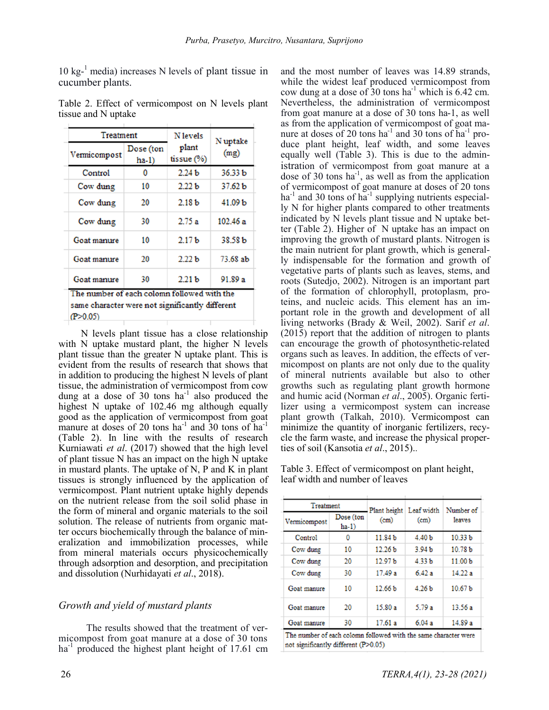10 kg-<sup>1</sup> media) increases N levels of plant tissue in cucumber plants.

| Treatment                                                                                                  |                                               | N levels          | N uptake<br>(mg)   |  |
|------------------------------------------------------------------------------------------------------------|-----------------------------------------------|-------------------|--------------------|--|
| Vermicompost                                                                                               | plant<br>Dose (ton<br>tissue $(\% )$<br>ha-1) |                   |                    |  |
| Control                                                                                                    | 0                                             | 2.24 <sub>b</sub> | 36.33 <sub>b</sub> |  |
| Cow dung                                                                                                   | 10                                            | 222 <sub>b</sub>  | 37.62 <sub>b</sub> |  |
| Cow dung                                                                                                   | 20                                            | 2.18 <sub>b</sub> | 41.09 b            |  |
| Cow dung                                                                                                   | 30                                            | 2.75a             | 102.46a            |  |
| Goat manure                                                                                                | 10                                            | 2.17 <sub>b</sub> | 38.58 b            |  |
| Goat manure                                                                                                | 20                                            | 2.22 <sub>b</sub> | 73.68 ab           |  |
| Goat manure                                                                                                | 30                                            | 2.21 <sub>b</sub> | 91.89a             |  |
| The number of each colomn followed with the<br>same character were not significantly different<br>(P>0.05) |                                               |                   |                    |  |

Table 2. Effect of vermicompost on N levels plant tissue and N uptake

N levels plant tissue has a close relationship with N uptake mustard plant, the higher N levels plant tissue than the greater N uptake plant. This is evident from the results of research that shows that in addition to producing the highest N levels of plant tissue, the administration of vermicompost from cow dung at a dose of 30 tons  $ha^{-1}$  also produced the highest N uptake of 102.46 mg although equally good as the application of vermicompost from goat manure at doses of 20 tons ha<sup>-1</sup> and 30 tons of  $ha^{-1}$ (Table 2). In line with the results of research Kurniawati *et al*. (2017) showed that the high level of plant tissue N has an impact on the high N uptake in mustard plants. The uptake of N, P and K in plant tissues is strongly influenced by the application of vermicompost. Plant nutrient uptake highly depends on the nutrient release from the soil solid phase in the form of mineral and organic materials to the soil solution. The release of nutrients from organic matter occurs biochemically through the balance of mineralization and immobilization processes, while from mineral materials occurs physicochemically through adsorption and desorption, and precipitation and dissolution (Nurhidayati *et al*., 2018).

# *Growth and yield of mustard plants*

The results showed that the treatment of vermicompost from goat manure at a dose of 30 tons ha<sup>-1</sup> produced the highest plant height of 17.61 cm and the most number of leaves was 14.89 strands, while the widest leaf produced vermicompost from cow dung at a dose of  $30 \text{ tons} \text{ ha}^{-1}$  which is 6.42 cm. Nevertheless, the administration of vermicompost from goat manure at a dose of 30 tons ha-1, as well as from the application of vermicompost of goat manure at doses of 20 tons ha<sup>-1</sup> and 30 tons of ha<sup>-1</sup> produce plant height, leaf width, and some leaves equally well (Table 3). This is due to the administration of vermicompost from goat manure at a dose of 30 tons  $ha^{-1}$ , as well as from the application of vermicompost of goat manure at doses of 20 tons  $ha^{-1}$  and 30 tons of  $ha^{-1}$  supplying nutrients especially N for higher plants compared to other treatments indicated by N levels plant tissue and N uptake better (Table 2). Higher of N uptake has an impact on improving the growth of mustard plants. Nitrogen is the main nutrient for plant growth, which is generally indispensable for the formation and growth of vegetative parts of plants such as leaves, stems, and roots (Sutedjo, 2002). Nitrogen is an important part of the formation of chlorophyll, protoplasm, proteins, and nucleic acids. This element has an important role in the growth and development of all living networks (Brady & Weil, 2002). Sarif *et al*. (2015) report that the addition of nitrogen to plants can encourage the growth of photosynthetic-related organs such as leaves. In addition, the effects of vermicompost on plants are not only due to the quality of mineral nutrients available but also to other growths such as regulating plant growth hormone and humic acid (Norman *et al*., 2005). Organic fertilizer using a vermicompost system can increase plant growth (Talkah, 2010). Vermicompost can minimize the quantity of inorganic fertilizers, recycle the farm waste, and increase the physical properties of soil (Kansotia *et al*., 2015)..

Table 3. Effect of vermicompost on plant height, leaf width and number of leaves

| Treatment    |                      | Plant height       | Leaf width        | Number of          |  |
|--------------|----------------------|--------------------|-------------------|--------------------|--|
| Vermicompost | Dose (ton<br>$ha-1)$ | (c <sub>m</sub> )  | (c <sub>m</sub> ) | <b>leaves</b>      |  |
| Control      | 0                    | 11.84b             | 4.40 <sub>b</sub> | 10.33 <sub>b</sub> |  |
| Cow dung     | 10                   | 12.26 <sub>b</sub> | 3.94 <sub>b</sub> | 10.78 <sub>b</sub> |  |
| Cow dung     | 20                   | 12.97 b            | 4.33 <sub>b</sub> | 11.00 <sub>b</sub> |  |
| Cow dung     | 30                   | 17.49a             | 642a              | 14.22a             |  |
| Goat manure  | 10                   | 12.66 <sub>b</sub> | 426 <sub>b</sub>  | 10.67 <sub>b</sub> |  |
| Goat manure  | 20                   | 15.80a             | 5.79a             | 13.56a             |  |
| Goat manure  | 30                   | 17.61a             | 6.04a             | 14.89 a            |  |

The number of each colomn followed with the same character were not significantly different (P>0.05)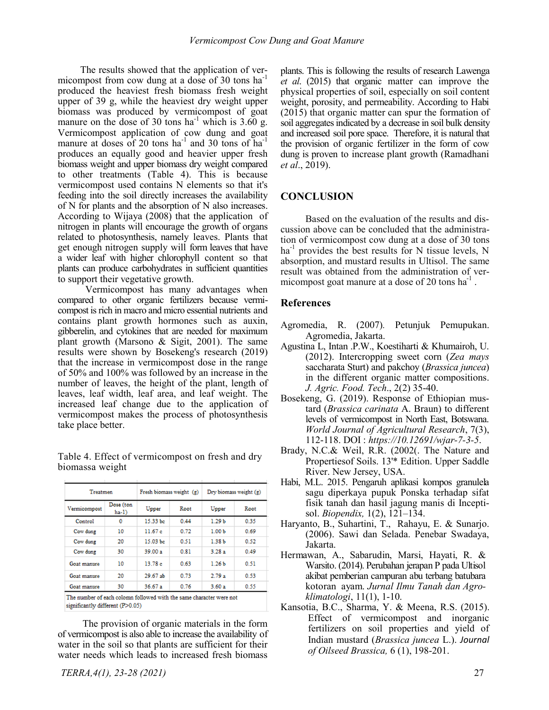The results showed that the application of vermicompost from cow dung at a dose of 30 tons  $ha^{-1}$ produced the heaviest fresh biomass fresh weight upper of 39 g, while the heaviest dry weight upper biomass was produced by vermicompost of goat manure on the dose of 30 tons  $ha^{-1}$  which is 3.60 g. Vermicompost application of cow dung and goat manure at doses of 20 tons ha<sup>-1</sup> and 30 tons of  $ha^{-1}$ produces an equally good and heavier upper fresh biomass weight and upper biomass dry weight compared to other treatments (Table 4). This is because vermicompost used contains N elements so that it's feeding into the soil directly increases the availability of N for plants and the absorption of N also increases. According to Wijaya (2008) that the application of nitrogen in plants will encourage the growth of organs related to photosynthesis, namely leaves. Plants that get enough nitrogen supply will form leaves that have a wider leaf with higher chlorophyll content so that plants can produce carbohydrates in sufficient quantities to support their vegetative growth.

Vermicompost has many advantages when compared to other organic fertilizers because vermicompost is rich in macro and micro essential nutrients and contains plant growth hormones such as auxin, gibberelin, and cytokines that are needed for maximum plant growth (Marsono & Sigit, 2001). The same results were shown by Bosekeng's research (2019) that the increase in vermicompost dose in the range of 50% and 100% was followed by an increase in the number of leaves, the height of the plant, length of leaves, leaf width, leaf area, and leaf weight. The increased leaf change due to the application of vermicompost makes the process of photosynthesis take place better.

Table 4. Effect of vermicompost on fresh and dry biomassa weight

| Treatmen     |                      | Fresh biomass weight (g) |      | Dry biomass weight (g) |      |
|--------------|----------------------|--------------------------|------|------------------------|------|
| Vermicompost | Dose (ton<br>$ha-1)$ | Upper                    | Root | Upper                  | Root |
| Control      | 0                    | 15.33 be                 | 0.44 | 1.29 <sub>b</sub>      | 0.35 |
| Cow dung     | 10                   | 11.67c                   | 0.72 | 1.00 <sub>b</sub>      | 0.69 |
| Cow dung     | 20                   | 15.03 be                 | 0.51 | 1.38 <sub>b</sub>      | 0.52 |
| Cow dung     | 30                   | 39.00a                   | 0.81 | 3.28a                  | 0.49 |
| Goat manure  | 10                   | 13.78c                   | 0.63 | 1.26 <sub>b</sub>      | 0.51 |
| Goat manure  | 20                   | 29.67 ab                 | 0.73 | 2.79a                  | 0.53 |
| Goat manure  | 30                   | 36.67a                   | 0.76 | 3.60a                  | 0.55 |

The provision of organic materials in the form of vermicompost is also able to increase the availability of water in the soil so that plants are sufficient for their water needs which leads to increased fresh biomass

plants. This is following the results of research Lawenga *et al*. (2015) that organic matter can improve the physical properties of soil, especially on soil content weight, porosity, and permeability. According to Habi (2015) that organic matter can spur the formation of soil aggregates indicated by a decrease in soil bulk density and increased soil pore space. Therefore, it is natural that the provision of organic fertilizer in the form of cow dung is proven to increase plant growth (Ramadhani *et al*., 2019).

# **CONCLUSION**

Based on the evaluation of the results and discussion above can be concluded that the administration of vermicompost cow dung at a dose of 30 tons ha<sup>-1</sup> provides the best results for N tissue levels, N absorption, and mustard results in Ultisol. The same result was obtained from the administration of vermicompost goat manure at a dose of 20 tons  $ha^{-1}$ .

### **References**

- Agromedia, R. (2007)*.* Petunjuk Pemupukan. Agromedia, Jakarta.
- Agustina L, Intan .P.W., Koestiharti & Khumairoh, U. (2012). Intercropping sweet corn (*Zea mays*  saccharata Sturt) and pakchoy (*Brassica juncea*) in the different organic matter compositions. *J. Agric. Food. Tech*., 2(2) 35-40.
- Bosekeng, G. (2019). Response of Ethiopian mustard (*Brassica carinata* A. Braun) to different levels of vermicompost in North East, Botswana. *World Journal of Agricultural Research*, 7(3), 112-118. DOI : *https://10.12691/wjar-7-3-5*.
- Brady, N.C.& Weil, R.R. (2002(. The Nature and Propertiesof Soils. 13'\* Edition. Upper Saddle River. New Jersey, USA.
- Habi, M.L. 2015. Pengaruh aplikasi kompos granulela sagu diperkaya pupuk Ponska terhadap sifat fisik tanah dan hasil jagung manis di Inceptisol. *Biopendix,* 1(2), 121–134.
- Haryanto, B., Suhartini, T., Rahayu, E. & Sunarjo. (2006). Sawi dan Selada. Penebar Swadaya, Jakarta.
- Hermawan, A., Sabarudin, Marsi, Hayati, R. & Warsito. (2014). Perubahan jerapan P pada Ultisol akibat pemberian campuran abu terbang batubara kotoran ayam. *Jurnal Ilmu Tanah dan Agroklimatologi*, 11(1), 1-10.
- Kansotia, B.C., Sharma, Y. & Meena, R.S. (2015). Effect of vermicompost and inorganic fertilizers on soil properties and yield of Indian mustard (*Brassica juncea* L.). *Journal of Oilseed Brassica,* 6 (1), 198-201.